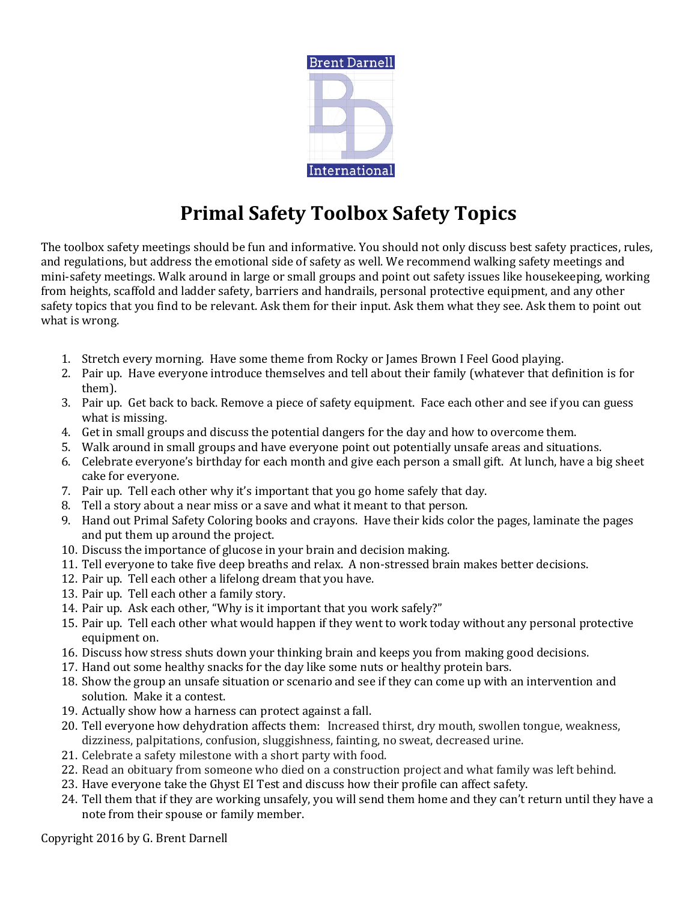

## **Primal Safety Toolbox Safety Topics**

The toolbox safety meetings should be fun and informative. You should not only discuss best safety practices, rules, and regulations, but address the emotional side of safety as well. We recommend walking safety meetings and mini-safety meetings. Walk around in large or small groups and point out safety issues like housekeeping, working from heights, scaffold and ladder safety, barriers and handrails, personal protective equipment, and any other safety topics that you find to be relevant. Ask them for their input. Ask them what they see. Ask them to point out what is wrong.

- 1. Stretch every morning. Have some theme from Rocky or James Brown I Feel Good playing.
- 2. Pair up. Have everyone introduce themselves and tell about their family (whatever that definition is for them).
- 3. Pair up. Get back to back. Remove a piece of safety equipment. Face each other and see if you can guess what is missing.
- 4. Get in small groups and discuss the potential dangers for the day and how to overcome them.
- 5. Walk around in small groups and have everyone point out potentially unsafe areas and situations.
- 6. Celebrate everyone's birthday for each month and give each person a small gift. At lunch, have a big sheet cake for everyone.
- 7. Pair up. Tell each other why it's important that you go home safely that day.
- 8. Tell a story about a near miss or a save and what it meant to that person.
- 9. Hand out Primal Safety Coloring books and crayons. Have their kids color the pages, laminate the pages and put them up around the project.
- 10. Discuss the importance of glucose in your brain and decision making.
- 11. Tell everyone to take five deep breaths and relax. A non-stressed brain makes better decisions.
- 12. Pair up. Tell each other a lifelong dream that you have.
- 13. Pair up. Tell each other a family story.
- 14. Pair up. Ask each other, "Why is it important that you work safely?"
- 15. Pair up. Tell each other what would happen if they went to work today without any personal protective equipment on.
- 16. Discuss how stress shuts down your thinking brain and keeps you from making good decisions.
- 17. Hand out some healthy snacks for the day like some nuts or healthy protein bars.
- 18. Show the group an unsafe situation or scenario and see if they can come up with an intervention and solution. Make it a contest.
- 19. Actually show how a harness can protect against a fall.
- 20. Tell everyone how dehydration affects them: Increased thirst, dry mouth, swollen tongue, weakness, dizziness, palpitations, confusion, sluggishness, fainting, no sweat, decreased urine.
- 21. Celebrate a safety milestone with a short party with food.
- 22. Read an obituary from someone who died on a construction project and what family was left behind.
- 23. Have everyone take the Ghyst EI Test and discuss how their profile can affect safety.
- 24. Tell them that if they are working unsafely, you will send them home and they can't return until they have a note from their spouse or family member.

Copyright 2016 by G. Brent Darnell